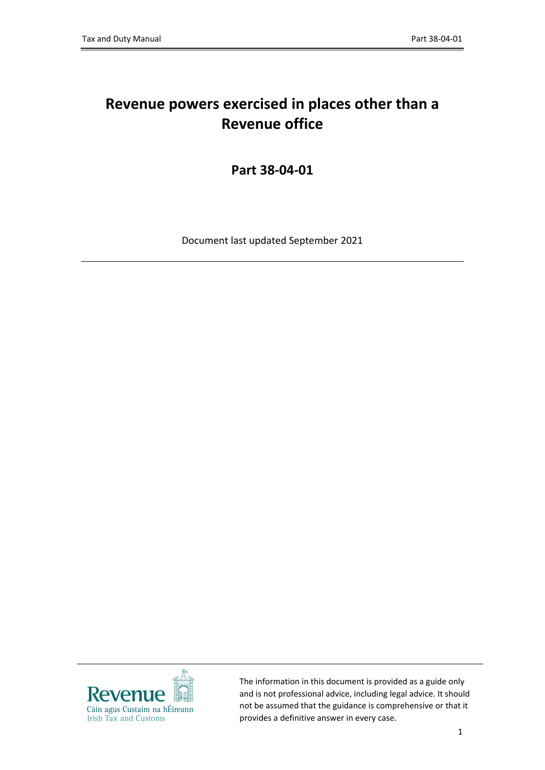# **Revenue powers exercised in places other than a Revenue office**

**Part 38-04-01**

Document last updated September 2021



The information in this document is provided as a guide only and is not professional advice, including legal advice. It should not be assumed that the guidance is comprehensive or that it provides a definitive answer in every case.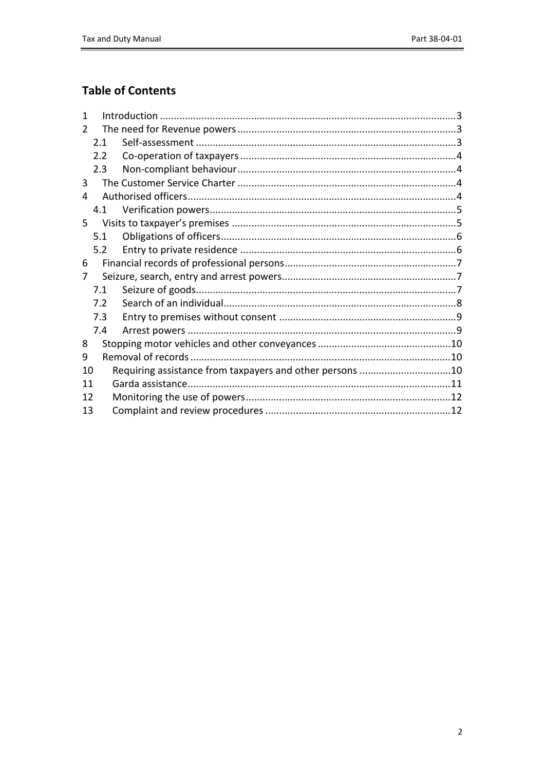### **Table of Contents**

| 1             |     |                                                          |  |
|---------------|-----|----------------------------------------------------------|--|
| $\mathcal{P}$ |     |                                                          |  |
|               | 2.1 |                                                          |  |
|               | 2.2 |                                                          |  |
|               | 2.3 |                                                          |  |
| 3             |     |                                                          |  |
| 4             |     |                                                          |  |
|               | 4.1 |                                                          |  |
| 5.            |     |                                                          |  |
|               | 5.1 |                                                          |  |
|               | 5.2 |                                                          |  |
| 6             |     |                                                          |  |
| 7             |     |                                                          |  |
|               | 7.1 |                                                          |  |
|               | 7.2 |                                                          |  |
|               | 7.3 |                                                          |  |
|               | 7.4 |                                                          |  |
| 8             |     |                                                          |  |
| 9             |     |                                                          |  |
| 10            |     | Requiring assistance from taxpayers and other persons 10 |  |
| 11            |     |                                                          |  |
| 12            |     |                                                          |  |
| 13            |     |                                                          |  |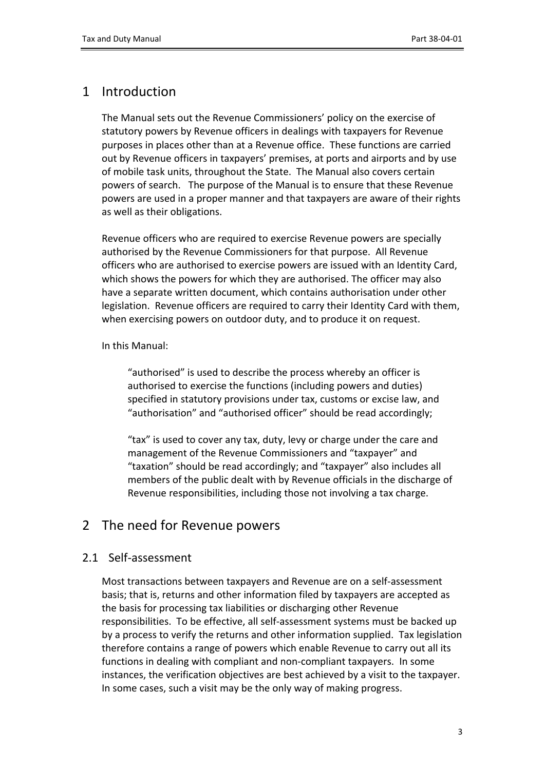# <span id="page-2-0"></span>1 Introduction

The Manual sets out the Revenue Commissioners' policy on the exercise of statutory powers by Revenue officers in dealings with taxpayers for Revenue purposes in places other than at a Revenue office. These functions are carried out by Revenue officers in taxpayers' premises, at ports and airports and by use of mobile task units, throughout the State. The Manual also covers certain powers of search. The purpose of the Manual is to ensure that these Revenue powers are used in a proper manner and that taxpayers are aware of their rights as well as their obligations.

Revenue officers who are required to exercise Revenue powers are specially authorised by the Revenue Commissioners for that purpose. All Revenue officers who are authorised to exercise powers are issued with an Identity Card, which shows the powers for which they are authorised. The officer may also have a separate written document, which contains authorisation under other legislation. Revenue officers are required to carry their Identity Card with them, when exercising powers on outdoor duty, and to produce it on request.

#### In this Manual:

"authorised" is used to describe the process whereby an officer is authorised to exercise the functions (including powers and duties) specified in statutory provisions under tax, customs or excise law, and "authorisation" and "authorised officer" should be read accordingly;

"tax" is used to cover any tax, duty, levy or charge under the care and management of the Revenue Commissioners and "taxpayer" and "taxation" should be read accordingly; and "taxpayer" also includes all members of the public dealt with by Revenue officials in the discharge of Revenue responsibilities, including those not involving a tax charge.

### <span id="page-2-1"></span>2 The need for Revenue powers

### <span id="page-2-2"></span>2.1 Self-assessment

Most transactions between taxpayers and Revenue are on a self-assessment basis; that is, returns and other information filed by taxpayers are accepted as the basis for processing tax liabilities or discharging other Revenue responsibilities. To be effective, all self-assessment systems must be backed up by a process to verify the returns and other information supplied. Tax legislation therefore contains a range of powers which enable Revenue to carry out all its functions in dealing with compliant and non-compliant taxpayers. In some instances, the verification objectives are best achieved by a visit to the taxpayer. In some cases, such a visit may be the only way of making progress.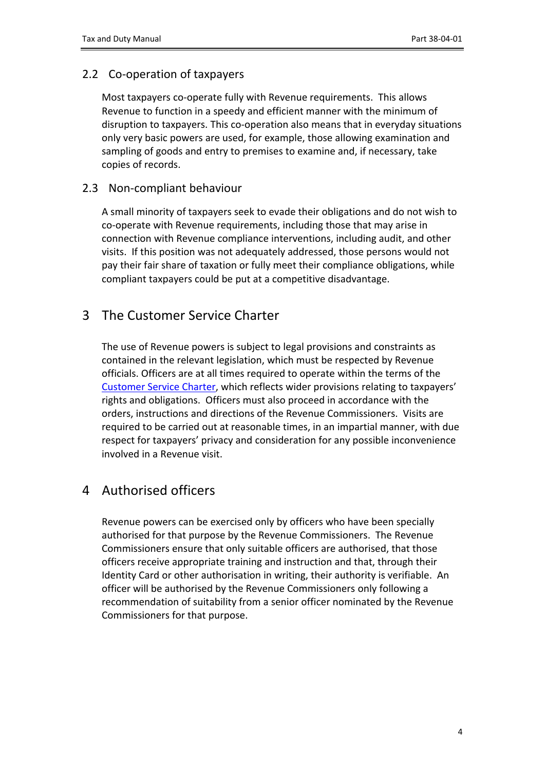### <span id="page-3-0"></span>2.2 Co-operation of taxpayers

Most taxpayers co-operate fully with Revenue requirements. This allows Revenue to function in a speedy and efficient manner with the minimum of disruption to taxpayers. This co-operation also means that in everyday situations only very basic powers are used, for example, those allowing examination and sampling of goods and entry to premises to examine and, if necessary, take copies of records.

### <span id="page-3-1"></span>2.3 Non-compliant behaviour

A small minority of taxpayers seek to evade their obligations and do not wish to co-operate with Revenue requirements, including those that may arise in connection with Revenue compliance interventions, including audit, and other visits. If this position was not adequately addressed, those persons would not pay their fair share of taxation or fully meet their compliance obligations, while compliant taxpayers could be put at a competitive disadvantage.

### <span id="page-3-2"></span>3 The Customer Service Charter

The use of Revenue powers is subject to legal provisions and constraints as contained in the relevant legislation, which must be respected by Revenue officials. Officers are at all times required to operate within the terms of the [Customer](https://www.revenue.ie/en/corporate/information-about-revenue/customer-service/customer-charter/index.aspx) [Service](https://www.revenue.ie/en/corporate/information-about-revenue/customer-service/customer-charter/index.aspx) [Charter,](https://www.revenue.ie/en/corporate/information-about-revenue/customer-service/customer-charter/index.aspx) which reflects wider provisions relating to taxpayers' rights and obligations. Officers must also proceed in accordance with the orders, instructions and directions of the Revenue Commissioners. Visits are required to be carried out at reasonable times, in an impartial manner, with due respect for taxpayers' privacy and consideration for any possible inconvenience involved in a Revenue visit.

# <span id="page-3-3"></span>4 Authorised officers

Revenue powers can be exercised only by officers who have been specially authorised for that purpose by the Revenue Commissioners. The Revenue Commissioners ensure that only suitable officers are authorised, that those officers receive appropriate training and instruction and that, through their Identity Card or other authorisation in writing, their authority is verifiable. An officer will be authorised by the Revenue Commissioners only following a recommendation of suitability from a senior officer nominated by the Revenue Commissioners for that purpose.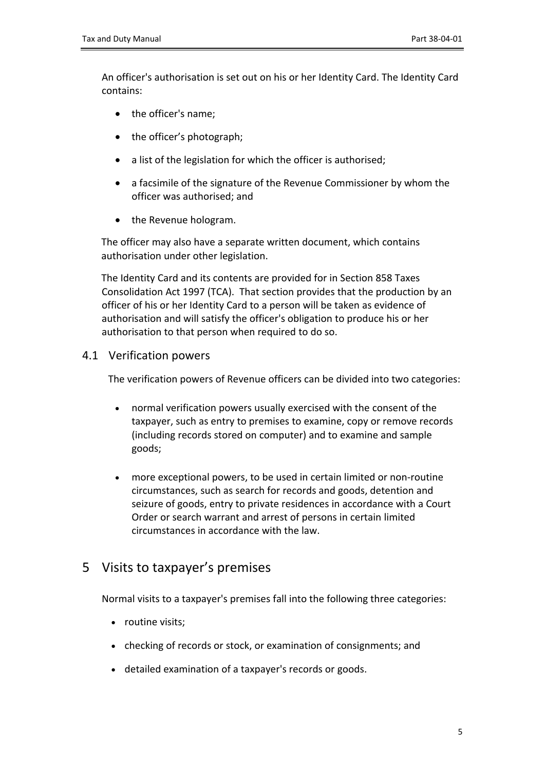An officer's authorisation is set out on his or her Identity Card. The Identity Card contains:

- the officer's name;
- the officer's photograph;
- a list of the legislation for which the officer is authorised;
- a facsimile of the signature of the Revenue Commissioner by whom the officer was authorised; and
- the Revenue hologram.

The officer may also have a separate written document, which contains authorisation under other legislation.

The Identity Card and its contents are provided for in Section 858 Taxes Consolidation Act 1997 (TCA). That section provides that the production by an officer of his or her Identity Card to a person will be taken as evidence of authorisation and will satisfy the officer's obligation to produce his or her authorisation to that person when required to do so.

#### <span id="page-4-0"></span>4.1 Verification powers

The verification powers of Revenue officers can be divided into two categories:

- normal verification powers usually exercised with the consent of the taxpayer, such as entry to premises to examine, copy or remove records (including records stored on computer) and to examine and sample goods;
- more exceptional powers, to be used in certain limited or non-routine circumstances, such as search for records and goods, detention and seizure of goods, entry to private residences in accordance with a Court Order or search warrant and arrest of persons in certain limited circumstances in accordance with the law.

### <span id="page-4-1"></span>5 Visits to taxpayer's premises

Normal visits to a taxpayer's premises fall into the following three categories:

- routine visits:
- checking of records or stock, or examination of consignments; and
- detailed examination of a taxpayer's records or goods.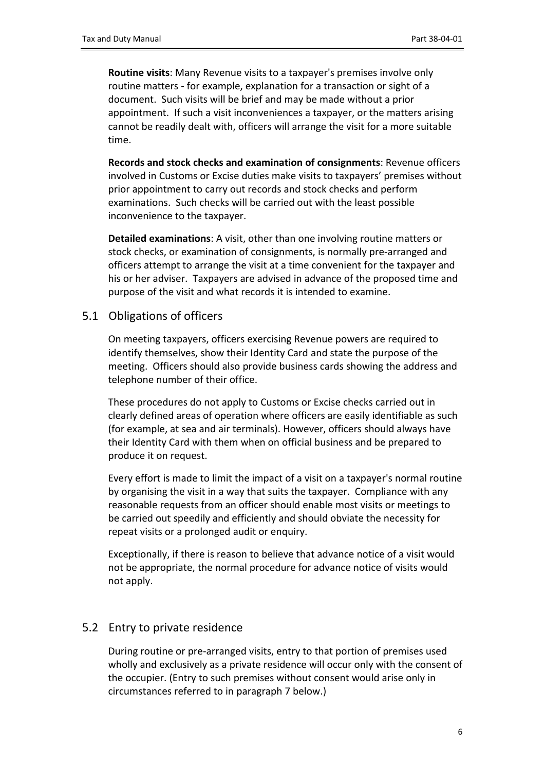**Routine visits**: Many Revenue visits to a taxpayer's premises involve only routine matters - for example, explanation for a transaction or sight of a document. Such visits will be brief and may be made without a prior appointment. If such a visit inconveniences a taxpayer, or the matters arising cannot be readily dealt with, officers will arrange the visit for a more suitable time.

**Records and stock checks and examination of consignments**: Revenue officers involved in Customs or Excise duties make visits to taxpayers' premises without prior appointment to carry out records and stock checks and perform examinations. Such checks will be carried out with the least possible inconvenience to the taxpayer.

**Detailed examinations**: A visit, other than one involving routine matters or stock checks, or examination of consignments, is normally pre-arranged and officers attempt to arrange the visit at a time convenient for the taxpayer and his or her adviser. Taxpayers are advised in advance of the proposed time and purpose of the visit and what records it is intended to examine.

#### <span id="page-5-0"></span>5.1 Obligations of officers

On meeting taxpayers, officers exercising Revenue powers are required to identify themselves, show their Identity Card and state the purpose of the meeting. Officers should also provide business cards showing the address and telephone number of their office.

These procedures do not apply to Customs or Excise checks carried out in clearly defined areas of operation where officers are easily identifiable as such (for example, at sea and air terminals). However, officers should always have their Identity Card with them when on official business and be prepared to produce it on request.

Every effort is made to limit the impact of a visit on a taxpayer's normal routine by organising the visit in a way that suits the taxpayer. Compliance with any reasonable requests from an officer should enable most visits or meetings to be carried out speedily and efficiently and should obviate the necessity for repeat visits or a prolonged audit or enquiry.

Exceptionally, if there is reason to believe that advance notice of a visit would not be appropriate, the normal procedure for advance notice of visits would not apply.

#### <span id="page-5-1"></span>5.2 Entry to private residence

During routine or pre-arranged visits, entry to that portion of premises used wholly and exclusively as a private residence will occur only with the consent of the occupier. (Entry to such premises without consent would arise only in circumstances referred to in paragraph 7 below.)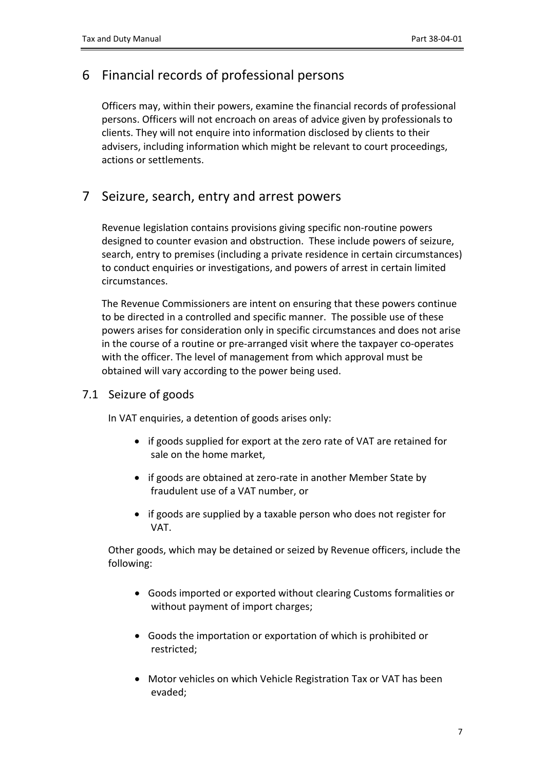# <span id="page-6-0"></span>6 Financial records of professional persons

Officers may, within their powers, examine the financial records of professional persons. Officers will not encroach on areas of advice given by professionals to clients. They will not enquire into information disclosed by clients to their advisers, including information which might be relevant to court proceedings, actions or settlements.

### <span id="page-6-1"></span>7 Seizure, search, entry and arrest powers

Revenue legislation contains provisions giving specific non-routine powers designed to counter evasion and obstruction. These include powers of seizure, search, entry to premises (including a private residence in certain circumstances) to conduct enquiries or investigations, and powers of arrest in certain limited circumstances.

The Revenue Commissioners are intent on ensuring that these powers continue to be directed in a controlled and specific manner. The possible use of these powers arises for consideration only in specific circumstances and does not arise in the course of a routine or pre-arranged visit where the taxpayer co-operates with the officer. The level of management from which approval must be obtained will vary according to the power being used.

### <span id="page-6-2"></span>7.1 Seizure of goods

In VAT enquiries, a detention of goods arises only:

- if goods supplied for export at the zero rate of VAT are retained for sale on the home market,
- if goods are obtained at zero-rate in another Member State by fraudulent use of a VAT number, or
- if goods are supplied by a taxable person who does not register for VAT.

Other goods, which may be detained or seized by Revenue officers, include the following:

- Goods imported or exported without clearing Customs formalities or without payment of import charges;
- Goods the importation or exportation of which is prohibited or restricted;
- Motor vehicles on which Vehicle Registration Tax or VAT has been evaded;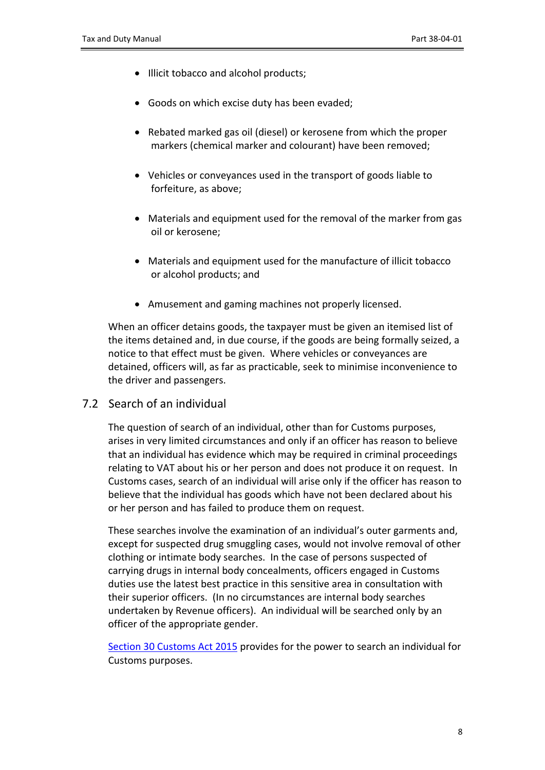- $\bullet$  Illicit tobacco and alcohol products;
- Goods on which excise duty has been evaded;
- Rebated marked gas oil (diesel) or kerosene from which the proper markers (chemical marker and colourant) have been removed;
- Vehicles or conveyances used in the transport of goods liable to forfeiture, as above;
- Materials and equipment used for the removal of the marker from gas oil or kerosene;
- Materials and equipment used for the manufacture of illicit tobacco or alcohol products; and
- Amusement and gaming machines not properly licensed.

When an officer detains goods, the taxpayer must be given an itemised list of the items detained and, in due course, if the goods are being formally seized, a notice to that effect must be given. Where vehicles or conveyances are detained, officers will, as far as practicable, seek to minimise inconvenience to the driver and passengers.

<span id="page-7-0"></span>7.2 Search of an individual

The question of search of an individual, other than for Customs purposes, arises in very limited circumstances and only if an officer has reason to believe that an individual has evidence which may be required in criminal proceedings relating to VAT about his or her person and does not produce it on request. In Customs cases, search of an individual will arise only if the officer has reason to believe that the individual has goods which have not been declared about his or her person and has failed to produce them on request.

These searches involve the examination of an individual's outer garments and, except for suspected drug smuggling cases, would not involve removal of other clothing or intimate body searches. In the case of persons suspected of carrying drugs in internal body concealments, officers engaged in Customs duties use the latest best practice in this sensitive area in consultation with their superior officers. (In no circumstances are internal body searches undertaken by Revenue officers). An individual will be searched only by an officer of the appropriate gender.

[Section](http://www.irishstatutebook.ie/eli/2015/act/18/section/30/enacted/en/html#sec30) [30](http://www.irishstatutebook.ie/eli/2015/act/18/section/30/enacted/en/html#sec30) [Customs](http://www.irishstatutebook.ie/eli/2015/act/18/section/30/enacted/en/html#sec30) [Act](http://www.irishstatutebook.ie/eli/2015/act/18/section/30/enacted/en/html#sec30) [2015](http://www.irishstatutebook.ie/eli/2015/act/18/section/30/enacted/en/html#sec30) provides for the power to search an individual for Customs purposes.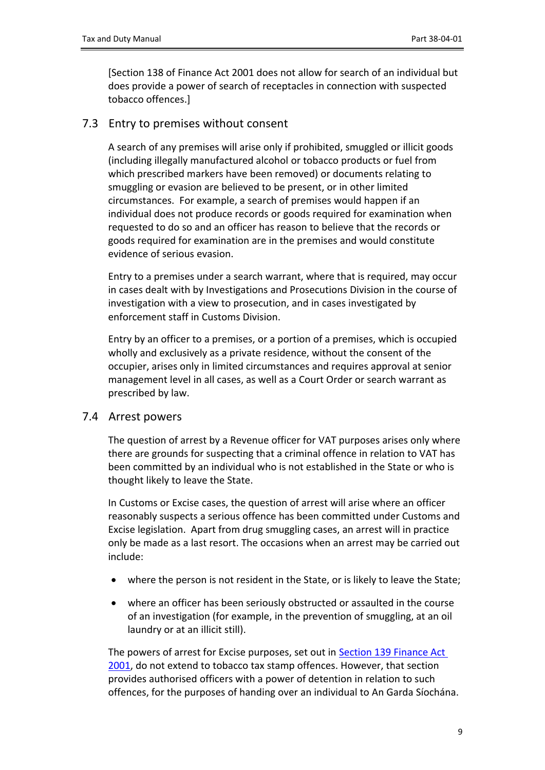[Section 138 of Finance Act 2001 does not allow for search of an individual but does provide a power of search of receptacles in connection with suspected tobacco offences.]

### <span id="page-8-0"></span>7.3 Entry to premises without consent

A search of any premises will arise only if prohibited, smuggled or illicit goods (including illegally manufactured alcohol or tobacco products or fuel from which prescribed markers have been removed) or documents relating to smuggling or evasion are believed to be present, or in other limited circumstances. For example, a search of premises would happen if an individual does not produce records or goods required for examination when requested to do so and an officer has reason to believe that the records or goods required for examination are in the premises and would constitute evidence of serious evasion.

Entry to a premises under a search warrant, where that is required, may occur in cases dealt with by Investigations and Prosecutions Division in the course of investigation with a view to prosecution, and in cases investigated by enforcement staff in Customs Division.

Entry by an officer to a premises, or a portion of a premises, which is occupied wholly and exclusively as a private residence, without the consent of the occupier, arises only in limited circumstances and requires approval at senior management level in all cases, as well as a Court Order or search warrant as prescribed by law.

### <span id="page-8-1"></span>7.4 Arrest powers

The question of arrest by a Revenue officer for VAT purposes arises only where there are grounds for suspecting that a criminal offence in relation to VAT has been committed by an individual who is not established in the State or who is thought likely to leave the State.

In Customs or Excise cases, the question of arrest will arise where an officer reasonably suspects a serious offence has been committed under Customs and Excise legislation. Apart from drug smuggling cases, an arrest will in practice only be made as a last resort. The occasions when an arrest may be carried out include:

- where the person is not resident in the State, or is likely to leave the State;
- where an officer has been seriously obstructed or assaulted in the course of an investigation (for example, in the prevention of smuggling, at an oil laundry or at an illicit still).

The powers of arrest for Excise purposes, set out in [Section](http://www.irishstatutebook.ie/eli/2001/act/7/section/139/enacted/en/html) [139](http://www.irishstatutebook.ie/eli/2001/act/7/section/139/enacted/en/html) [Finance](http://www.irishstatutebook.ie/eli/2001/act/7/section/139/enacted/en/html) [Act](http://www.irishstatutebook.ie/eli/2001/act/7/section/139/enacted/en/html) [2001,](http://www.irishstatutebook.ie/eli/2001/act/7/section/139/enacted/en/html) do not extend to tobacco tax stamp offences. However, that section provides authorised officers with a power of detention in relation to such offences, for the purposes of handing over an individual to An Garda Síochána.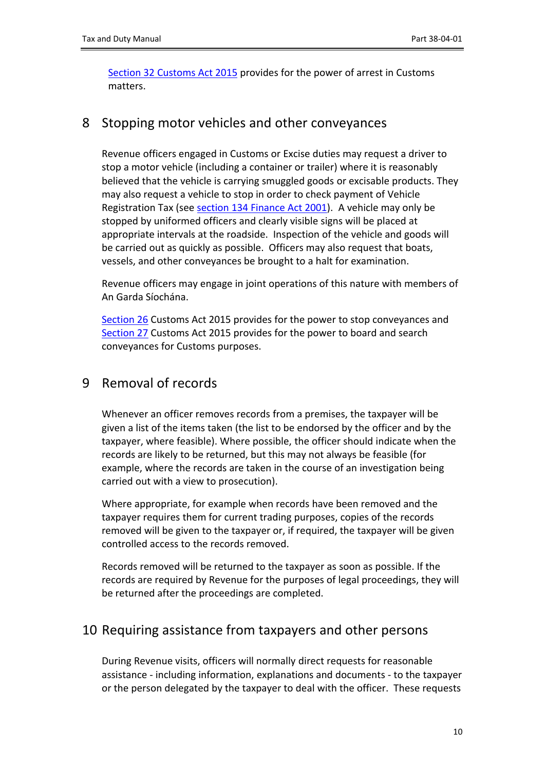[Section](http://www.irishstatutebook.ie/eli/2015/act/18/section/32/enacted/en/html#sec32) [32](http://www.irishstatutebook.ie/eli/2015/act/18/section/32/enacted/en/html#sec32) [Customs](http://www.irishstatutebook.ie/eli/2015/act/18/section/32/enacted/en/html#sec32) [Act](http://www.irishstatutebook.ie/eli/2015/act/18/section/32/enacted/en/html#sec32) [2015](http://www.irishstatutebook.ie/eli/2015/act/18/section/32/enacted/en/html#sec32) provides for the power of arrest in Customs matters.

### <span id="page-9-0"></span>8 Stopping motor vehicles and other conveyances

Revenue officers engaged in Customs or Excise duties may request a driver to stop a motor vehicle (including a container or trailer) where it is reasonably believed that the vehicle is carrying smuggled goods or excisable products. They may also request a vehicle to stop in order to check payment of Vehicle Registration Tax (see [section](http://www.irishstatutebook.ie/eli/2001/act/7/section/134/enacted/en/html) [134](http://www.irishstatutebook.ie/eli/2001/act/7/section/134/enacted/en/html) [Finance](http://www.irishstatutebook.ie/eli/2001/act/7/section/134/enacted/en/html) [Act](http://www.irishstatutebook.ie/eli/2001/act/7/section/134/enacted/en/html) [2001\)](http://www.irishstatutebook.ie/eli/2001/act/7/section/134/enacted/en/html). A vehicle may only be stopped by uniformed officers and clearly visible signs will be placed at appropriate intervals at the roadside. Inspection of the vehicle and goods will be carried out as quickly as possible. Officers may also request that boats, vessels, and other conveyances be brought to a halt for examination.

Revenue officers may engage in joint operations of this nature with members of An Garda Síochána.

[Section](http://www.irishstatutebook.ie/2015/en/act/pub/0018/sec0026.html#sec26) [26](http://www.irishstatutebook.ie/2015/en/act/pub/0018/sec0026.html#sec26) Customs Act 2015 provides for the power to stop conveyances and [Section](http://www.irishstatutebook.ie/2015/en/act/pub/0018/sec0027.html#sec27) [27](http://www.irishstatutebook.ie/2015/en/act/pub/0018/sec0027.html#sec27) Customs Act 2015 provides for the power to board and search conveyances for Customs purposes.

# <span id="page-9-1"></span>9 Removal of records

Whenever an officer removes records from a premises, the taxpayer will be given a list of the items taken (the list to be endorsed by the officer and by the taxpayer, where feasible). Where possible, the officer should indicate when the records are likely to be returned, but this may not always be feasible (for example, where the records are taken in the course of an investigation being carried out with a view to prosecution).

Where appropriate, for example when records have been removed and the taxpayer requires them for current trading purposes, copies of the records removed will be given to the taxpayer or, if required, the taxpayer will be given controlled access to the records removed.

Records removed will be returned to the taxpayer as soon as possible. If the records are required by Revenue for the purposes of legal proceedings, they will be returned after the proceedings are completed.

# <span id="page-9-2"></span>10 Requiring assistance from taxpayers and other persons

During Revenue visits, officers will normally direct requests for reasonable assistance - including information, explanations and documents - to the taxpayer or the person delegated by the taxpayer to deal with the officer. These requests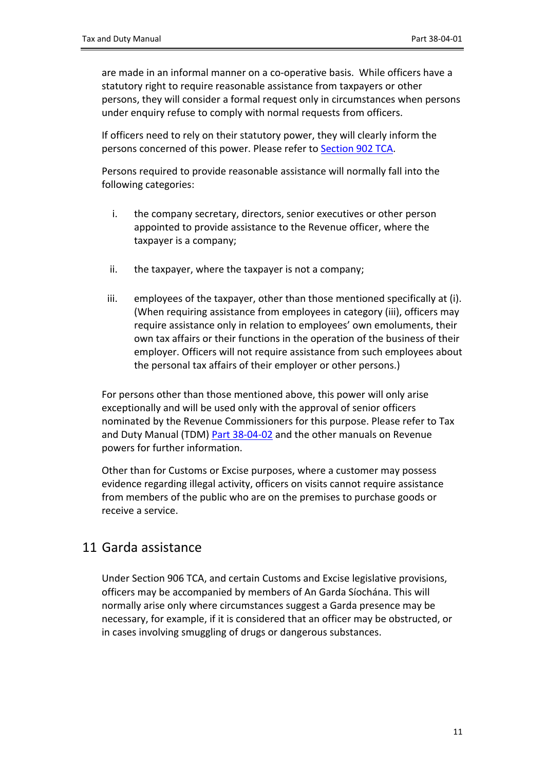are made in an informal manner on a co-operative basis. While officers have a statutory right to require reasonable assistance from taxpayers or other persons, they will consider a formal request only in circumstances when persons under enquiry refuse to comply with normal requests from officers.

If officers need to rely on their statutory power, they will clearly inform the persons concerned of this power. Please refer to [Section](http://www.irishstatutebook.ie/eli/1997/act/39/section/902/enacted/en/html) [902](http://www.irishstatutebook.ie/eli/1997/act/39/section/902/enacted/en/html) [TCA](http://www.irishstatutebook.ie/eli/1997/act/39/section/902/enacted/en/html).

Persons required to provide reasonable assistance will normally fall into the following categories:

- i. the company secretary, directors, senior executives or other person appointed to provide assistance to the Revenue officer, where the taxpayer is a company;
- ii. the taxpayer, where the taxpayer is not a company;
- iii. employees of the taxpayer, other than those mentioned specifically at (i). (When requiring assistance from employees in category (iii), officers may require assistance only in relation to employees' own emoluments, their own tax affairs or their functions in the operation of the business of their employer. Officers will not require assistance from such employees about the personal tax affairs of their employer or other persons.)

For persons other than those mentioned above, this power will only arise exceptionally and will be used only with the approval of senior officers nominated by the Revenue Commissioners for this purpose. Please refer to Tax and Duty Manual (TDM) [Part](https://www.revenue.ie/en/tax-professionals/tdm/powers/38-04-02.pdf) [38-04-02](https://www.revenue.ie/en/tax-professionals/tdm/powers/38-04-02.pdf) and the other manuals on Revenue powers for further information.

Other than for Customs or Excise purposes, where a customer may possess evidence regarding illegal activity, officers on visits cannot require assistance from members of the public who are on the premises to purchase goods or receive a service.

### <span id="page-10-0"></span>11 Garda assistance

Under Section 906 TCA, and certain Customs and Excise legislative provisions, officers may be accompanied by members of An Garda Síochána. This will normally arise only where circumstances suggest a Garda presence may be necessary, for example, if it is considered that an officer may be obstructed, or in cases involving smuggling of drugs or dangerous substances.